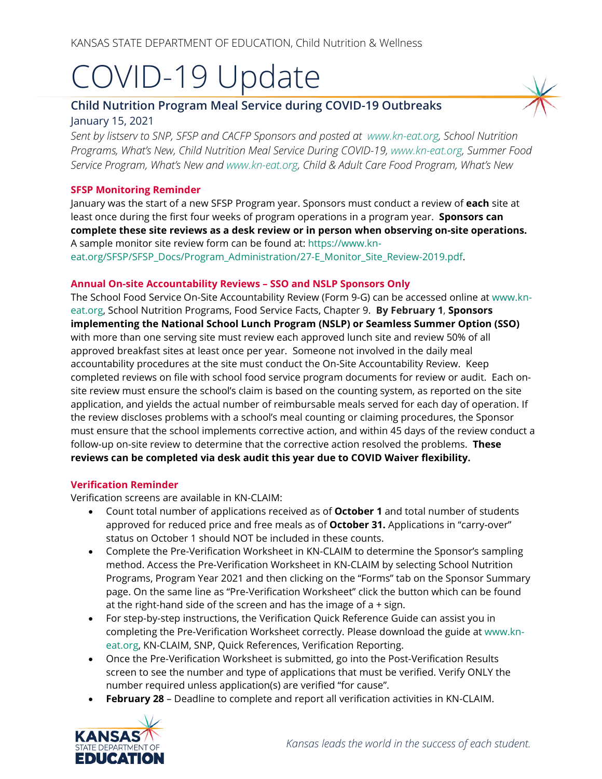# COVID-19 Update

# **Child Nutrition Program Meal Service during COVID-19 Outbreaks** January 15, 2021

*Sent by listserv to SNP, SFSP and CACFP Sponsors and posted at [www.kn-eat.org,](http://www.kn-eat.org/) School Nutrition Programs, What's New, Child Nutrition Meal Service During COVID-19, [www.kn-eat.org,](http://www.kn-eat.org/) Summer Food Service Program, What's New and [www.kn-eat.org,](http://www.kn-eat.org/) Child & Adult Care Food Program, What's New* 

### **SFSP Monitoring Reminder**

January was the start of a new SFSP Program year. Sponsors must conduct a review of **each** site at least once during the first four weeks of program operations in a program year. **Sponsors can complete these site reviews as a desk review or in person when observing on-site operations.** A sample monitor site review form can be found at: [https://www.kn](https://www.kn-eat.org/SFSP/SFSP_Docs/Program_Administration/27-E_Monitor_Site_Review-2019.pdf)[eat.org/SFSP/SFSP\\_Docs/Program\\_Administration/27-E\\_Monitor\\_Site\\_Review-2019.pdf.](https://www.kn-eat.org/SFSP/SFSP_Docs/Program_Administration/27-E_Monitor_Site_Review-2019.pdf)

#### **Annual On-site Accountability Reviews – SSO and NSLP Sponsors Only**

The School Food Service On-Site Accountability Review (Form 9-G) can be accessed online at [www.kn](http://www.kn-eat.org/)[eat.org,](http://www.kn-eat.org/) School Nutrition Programs, Food Service Facts, Chapter 9. **By February 1**, **Sponsors implementing the National School Lunch Program (NSLP) or Seamless Summer Option (SSO)**  with more than one serving site must review each approved lunch site and review 50% of all approved breakfast sites at least once per year. Someone not involved in the daily meal accountability procedures at the site must conduct the On-Site Accountability Review. Keep completed reviews on file with school food service program documents for review or audit. Each onsite review must ensure the school's claim is based on the counting system, as reported on the site application, and yields the actual number of reimbursable meals served for each day of operation. If the review discloses problems with a school's meal counting or claiming procedures, the Sponsor must ensure that the school implements corrective action, and within 45 days of the review conduct a follow-up on-site review to determine that the corrective action resolved the problems. **These reviews can be completed via desk audit this year due to COVID Waiver flexibility.**

#### **Verification Reminder**

Verification screens are available in KN-CLAIM:

- Count total number of applications received as of **October 1** and total number of students approved for reduced price and free meals as of **October 31.** Applications in "carry-over" status on October 1 should NOT be included in these counts.
- Complete the Pre-Verification Worksheet in KN-CLAIM to determine the Sponsor's sampling method. Access the Pre-Verification Worksheet in KN-CLAIM by selecting School Nutrition Programs, Program Year 2021 and then clicking on the "Forms" tab on the Sponsor Summary page. On the same line as "Pre-Verification Worksheet" click the button which can be found at the right-hand side of the screen and has the image of a + sign.
- For step-by-step instructions, the Verification Quick Reference Guide can assist you in completing the Pre-Verification Worksheet correctly. Please download the guide at [www.kn](http://www.kn-eat.org/)[eat.org,](http://www.kn-eat.org/) KN-CLAIM, SNP, Quick References, Verification Reporting.
- Once the Pre-Verification Worksheet is submitted, go into the Post-Verification Results screen to see the number and type of applications that must be verified. Verify ONLY the number required unless application(s) are verified "for cause".
- **February 28** Deadline to complete and report all verification activities in KN-CLAIM.